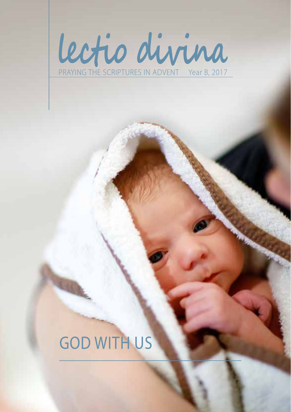

# GOD WITH US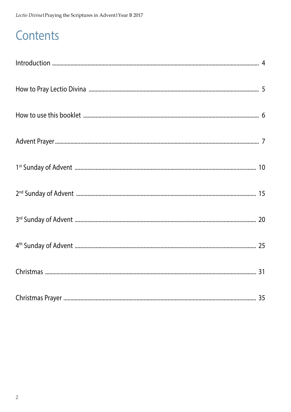## Contents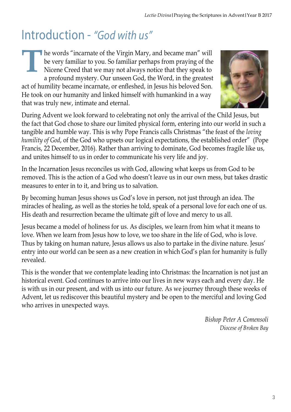## Introduction - *"God with us"*

he words "incarnate of the Virgin Mary, and became man" will be very familiar to you. So familiar perhaps from praying of the Nicene Creed that we may not always notice that they speak to a profound mystery. Our unseen God, the Word, in the greatest act of humility became incarnate, or enfleshed, in Jesus his beloved Son. He took on our humanity and linked himself with humankind in a way that was truly new, intimate and eternal. **T**



During Advent we look forward to celebrating not only the arrival of the Child Jesus, but the fact that God chose to share our limited physical form, entering into our world in such a tangible and humble way. This is why Pope Francis calls Christmas "the feast of the *loving humility of God*, of the God who upsets our logical expectations, the established order" (Pope Francis, 22 December, 2016). Rather than arriving to dominate, God becomes fragile like us, and unites himself to us in order to communicate his very life and joy.

In the Incarnation Jesus reconciles us with God, allowing what keeps us from God to be removed. This is the action of a God who doesn't leave us in our own mess, but takes drastic measures to enter in to it, and bring us to salvation.

By becoming human Jesus shows us God's love in person, not just through an idea. The miracles of healing, as well as the stories he told, speak of a personal love for each one of us. His death and resurrection became the ultimate gift of love and mercy to us all.

Jesus became a model of holiness for us. As disciples, we learn from him what it means to love. When we learn from Jesus how to love, we too share in the life of God, who is love. Thus by taking on human nature, Jesus allows us also to partake in the divine nature. Jesus' entry into our world can be seen as a new creation in which God's plan for humanity is fully revealed.

This is the wonder that we contemplate leading into Christmas: the Incarnation is not just an historical event. God continues to arrive into our lives in new ways each and every day. He is with us in our present, and with us into our future. As we journey through these weeks of Advent, let us rediscover this beautiful mystery and be open to the merciful and loving God who arrives in unexpected ways.

> *Bishop Peter A Comensoli Diocese of Broken Bay*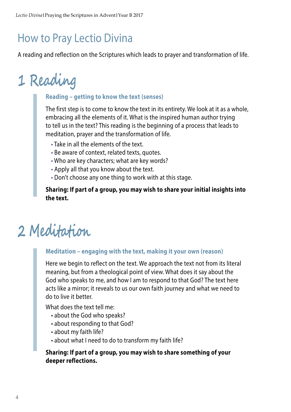## How to Pray Lectio Divina

A reading and reflection on the Scriptures which leads to prayer and transformation of life.

# **1 Reading**

#### **Reading – getting to know the text (senses)**

The first step is to come to know the text in its entirety. We look at it as a whole, embracing all the elements of it. What is the inspired human author trying to tell us in the text? This reading is the beginning of a process that leads to meditation, prayer and the transformation of life.

- Take in all the elements of the text.
- Be aware of context, related texts, quotes.
- Who are key characters; what are key words?
- Apply all that you know about the text.
- Don't choose any one thing to work with at this stage.

**Sharing: If part of a group, you may wish to share your initial insights into the text.**

# **2 Meditation**

#### **Meditation – engaging with the text, making it your own (reason)**

Here we begin to reflect on the text. We approach the text not from its literal meaning, but from a theological point of view. What does it say about the God who speaks to me, and how I am to respond to that God? The text here acts like a mirror; it reveals to us our own faith journey and what we need to do to live it better.

What does the text tell me:

- about the God who speaks?
- about responding to that God?
- about my faith life?
- about what I need to do to transform my faith life?

#### **Sharing: If part of a group, you may wish to share something of your deeper reflections.**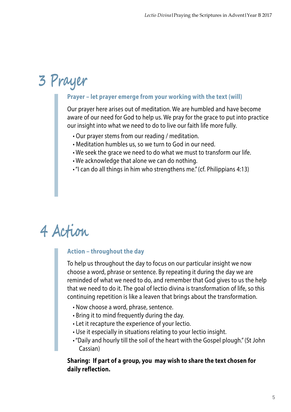# **3 Prayer**

#### **Prayer – let prayer emerge from your working with the text (will)**

Our prayer here arises out of meditation. We are humbled and have become aware of our need for God to help us. We pray for the grace to put into practice our insight into what we need to do to live our faith life more fully.

- Our prayer stems from our reading / meditation.
- Meditation humbles us, so we turn to God in our need.
- We seek the grace we need to do what we must to transform our life.
- We acknowledge that alone we can do nothing.
- "I can do all things in him who strengthens me." (cf. Philippians 4:13)

# **4 Action**

#### **Action – throughout the day**

To help us throughout the day to focus on our particular insight we now choose a word, phrase or sentence. By repeating it during the day we are reminded of what we need to do, and remember that God gives to us the help that we need to do it. The goal of lectio divina is transformation of life, so this continuing repetition is like a leaven that brings about the transformation.

- Now choose a word, phrase, sentence.
- Bring it to mind frequently during the day.
- Let it recapture the experience of your lectio.
- Use it especially in situations relating to your lectio insight.
- "Daily and hourly till the soil of the heart with the Gospel plough." (St John Cassian)

#### **Sharing: If part of a group, you may wish to share the text chosen for daily reflection.**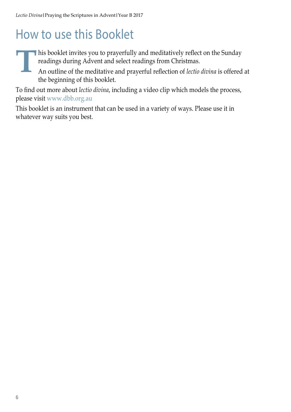## How to use this Booklet

his booklet invites you to prayerfully and meditatively reflect on the Sunday readings during Advent and select readings from Christmas.<br>An outline of the meditative and prayerful reflection of *lectio divina* is offered t readings during Advent and select readings from Christmas.

An outline of the meditative and prayerful reflection of *lectio divina* is offered at the beginning of this booklet.

To find out more about *lectio divina*, including a video clip which models the process, please visit www.dbb.org.au

This booklet is an instrument that can be used in a variety of ways. Please use it in whatever way suits you best.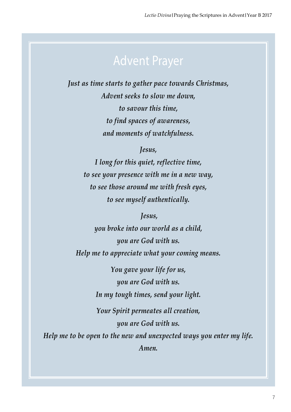*Just as time starts to gather pace towards Christmas, Advent seeks to slow me down, to savour this time, to find spaces of awareness, and moments of watchfulness.*

*Jesus,*

*I long for this quiet, reflective time, to see your presence with me in a new way, to see those around me with fresh eyes, to see myself authentically.*

 *Jesus,*

*you broke into our world as a child, you are God with us. Help me to appreciate what your coming means.*

> *You gave your life for us, you are God with us. In my tough times, send your light.*

*Your Spirit permeates all creation, you are God with us.*

*Help me to be open to the new and unexpected ways you enter my life. Amen.*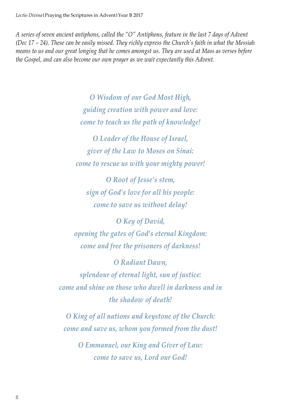*A series of seven ancient antiphons, called the "O" Antiphons, feature in the last 7 days of Advent (Dec 17 – 24). These can be easily missed. They richly express the Church's faith in what the Messiah means to us and our great longing that he comes amongst us. They are used at Mass as verses before the Gospel, and can also become our own prayer as we wait expectantly this Advent.*

> *O Wisdom of our God Most High, guiding creation with power and love: come to teach us the path of knowledge!*

*O Leader of the House of Israel, giver of the Law to Moses on Sinai: come to rescue us with your mighty power!*

*O Root of Jesse's stem, sign of God's love for all his people: come to save us without delay!*

*O Key of David, opening the gates of God's eternal Kingdom: come and free the prisoners of darkness!*

*O Radiant Dawn, splendour of eternal light, sun of justice: come and shine on those who dwell in darkness and in the shadow of death!*

*O King of all nations and keystone of the Church: come and save us, whom you formed from the dust!*

*O Emmanuel, our King and Giver of Law: come to save us, Lord our God!*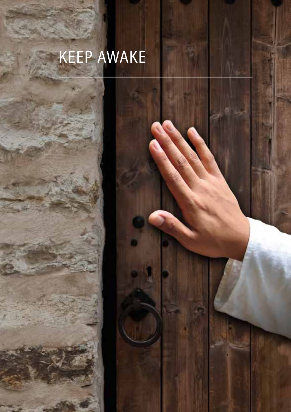# Keep awake



*Lectio Divina***|**Praying the Scriptures in Advent**|**Year B 2017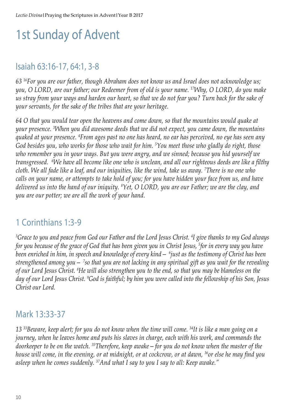# 1st Sunday of Advent

#### Isaiah 63:16-17, 64:1, 3-8

*63 16For you are our father, though Abraham does not know us and Israel does not acknowledge us; you, O LORD, are our father; our Redeemer from of old is your name. 17Why, O LORD, do you make us stray from your ways and harden our heart, so that we do not fear you? Turn back for the sake of your servants, for the sake of the tribes that are your heritage.* 

*64 O that you would tear open the heavens and come down, so that the mountains would quake at your presence. 3 When you did awesome deeds that we did not expect, you came down, the mountains quaked at your presence. 4 From ages past no one has heard, no ear has perceived, no eye has seen any God besides you, who works for those who wait for him. 5 You meet those who gladly do right, those who remember you in your ways. But you were angry, and we sinned; because you hid yourself we transgressed. 6 We have all become like one who is unclean, and all our righteous deeds are like a filthy cloth. We all fade like a leaf, and our iniquities, like the wind, take us away. 7 There is no one who calls on your name, or attempts to take hold of you; for you have hidden your face from us, and have delivered us into the hand of our iniquity. 8 Yet, O LORD, you are our Father; we are the clay, and you are our potter; we are all the work of your hand.*

### 1 Corinthians 1:3-9

*3 Grace to you and peace from God our Father and the Lord Jesus Christ. 4 I give thanks to my God always for you because of the grace of God that has been given you in Christ Jesus, 5 for in every way you have been enriched in him, in speech and knowledge of every kind— 6 just as the testimony of Christ has been strengthened among you— 7 so that you are not lacking in any spiritual gift as you wait for the revealing of our Lord Jesus Christ. 8 He will also strengthen you to the end, so that you may be blameless on the day of our Lord Jesus Christ. 9 God is faithful; by him you were called into the fellowship of his Son, Jesus Christ our Lord.* 

#### Mark 13:33-37

*13 33Beware, keep alert; for you do not know when the time will come. 34It is like a man going on a journey, when he leaves home and puts his slaves in charge, each with his work, and commands the doorkeeper to be on the watch. 35Therefore, keep awake—for you do not know when the master of the house will come, in the evening, or at midnight, or at cockcrow, or at dawn, 36or else he may find you asleep when he comes suddenly. 37And what I say to you I say to all: Keep awake."*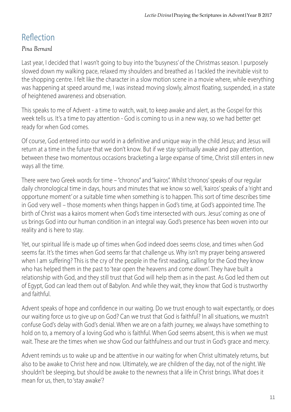## Reflection

#### *Pina Bernard*

Last year, I decided that I wasn't going to buy into the 'busyness' of the Christmas season. I purposely slowed down my walking pace, relaxed my shoulders and breathed as I tackled the inevitable visit to the shopping centre. I felt like the character in a slow motion scene in a movie where, while everything was happening at speed around me, I was instead moving slowly, almost floating, suspended, in a state of heightened awareness and observation.

This speaks to me of Advent - a time to watch, wait, to keep awake and alert, as the Gospel for this week tells us. It's a time to pay attention - God is coming to us in a new way, so we had better get ready for when God comes.

Of course, God entered into our world in a definitive and unique way in the child Jesus; and Jesus will return at a time in the future that we don't know. But if we stay spiritually awake and pay attention, between these two momentous occasions bracketing a large expanse of time, Christ still enters in new ways all the time.

There were two Greek words for time – "chronos" and "kairos". Whilst 'chronos' speaks of our regular daily chronological time in days, hours and minutes that we know so well, 'kairos' speaks of a 'right and opportune moment' or a suitable time when something is to happen. This sort of time describes time in God very well – those moments when things happen in God's time, at God's appointed time. The birth of Christ was a kairos moment when God's time intersected with ours. Jesus' coming as one of us brings God into our human condition in an integral way. God's presence has been woven into our reality and is here to stay.

Yet, our spiritual life is made up of times when God indeed does seems close, and times when God seems far. It's the times when God seems far that challenge us. Why isn't my prayer being answered when I am suffering? This is the cry of the people in the first reading, calling for the God they know who has helped them in the past to 'tear open the heavens and come down'. They have built a relationship with God, and they still trust that God will help them as in the past. As God led them out of Egypt, God can lead them out of Babylon. And while they wait, they know that God is trustworthy and faithful.

Advent speaks of hope and confidence in our waiting. Do we trust enough to wait expectantly, or does our waiting force us to give up on God? Can we trust that God is faithful? In all situations, we mustn't confuse God's delay with God's denial. When we are on a faith journey, we always have something to hold on to, a memory of a loving God who is faithful. When God seems absent, this is when we must wait. These are the times when we show God our faithfulness and our trust in God's grace and mercy.

Advent reminds us to wake up and be attentive in our waiting for when Christ ultimately returns, but also to be awake to Christ here and now. Ultimately, we are children of the day, not of the night. We shouldn't be sleeping, but should be awake to the newness that a life in Christ brings. What does it mean for us, then, to 'stay awake'?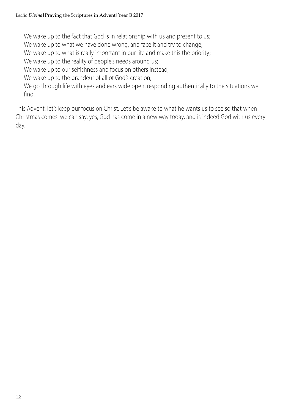We wake up to the fact that God is in relationship with us and present to us:

We wake up to what we have done wrong, and face it and try to change:

We wake up to what is really important in our life and make this the priority;

We wake up to the reality of people's needs around us;

We wake up to our selfishness and focus on others instead;

We wake up to the grandeur of all of God's creation;

We go through life with eyes and ears wide open, responding authentically to the situations we find.

This Advent, let's keep our focus on Christ. Let's be awake to what he wants us to see so that when Christmas comes, we can say, yes, God has come in a new way today, and is indeed God with us every day.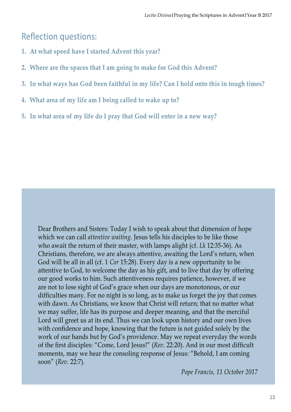#### Reflection questions:

- **1. At what speed have I started Advent this year?**
- **2. Where are the spaces that I am going to make for God this Advent?**
- **3. In what ways has God been faithful in my life? Can I hold onto this in tough times?**
- **4. What area of my life am I being called to wake up to?**
- **5. In what area of my life do I pray that God will enter in a new way?**

Dear Brothers and Sisters: Today I wish to speak about that dimension of hope which we can call *attentive waiting*. Jesus tells his disciples to be like those who await the return of their master, with lamps alight (cf. *Lk* 12:35-36). As Christians, therefore, we are always attentive, awaiting the Lord's return, when God will be all in all (cf. 1 *Cor* 15:28). Every day is a new opportunity to be attentive to God, to welcome the day as his gift, and to live that day by offering our good works to him. Such attentiveness requires patience, however, if we are not to lose sight of God's grace when our days are monotonous, or our difficulties many. For no night is so long, as to make us forget the joy that comes with dawn. As Christians, we know that Christ will return; that no matter what we may suffer, life has its purpose and deeper meaning, and that the merciful Lord will greet us at its end. Thus we can look upon history and our own lives with confidence and hope, knowing that the future is not guided solely by the work of our hands but by God's providence. May we repeat everyday the words of the first disciples: "Come, Lord Jesus!" (*Rev*. 22:20). And in our most difficult moments, may we hear the consoling response of Jesus: "Behold, I am coming soon" (*Rev*. 22:7).

*Pope Francis, 11 October 2017*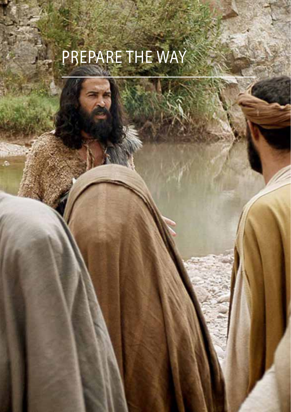# Prepare the way

*Lectio Divina***|**Praying the Scriptures in Advent**|**Year B 2017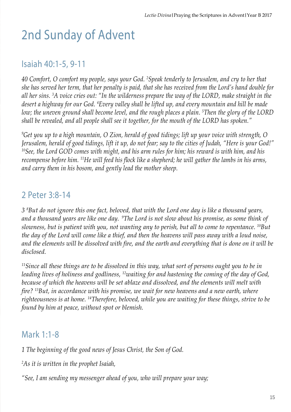# 2nd Sunday of Advent

#### Isaiah 40:1-5, 9-11

*40 Comfort, O comfort my people, says your God. 2 Speak tenderly to Jerusalem, and cry to her that she has served her term, that her penalty is paid, that she has received from the Lord's hand double for all her sins. 3 A voice cries out: "In the wilderness prepare the way of the LORD, make straight in the desert a highway for our God. 4 Every valley shall be lifted up, and every mountain and hill be made low; the uneven ground shall become level, and the rough places a plain. 5 Then the glory of the LORD shall be revealed, and all people shall see it together, for the mouth of the LORD has spoken."* 

*9 Get you up to a high mountain, O Zion, herald of good tidings; lift up your voice with strength, O Jerusalem, herald of good tidings, lift it up, do not fear; say to the cities of Judah, "Here is your God!" 10See, the Lord GOD comes with might, and his arm rules for him; his reward is with him, and his recompense before him. 11He will feed his flock like a shepherd; he will gather the lambs in his arms, and carry them in his bosom, and gently lead the mother sheep.* 

#### 2 Peter 3:8-14

*3 8 But do not ignore this one fact, beloved, that with the Lord one day is like a thousand years, and a thousand years are like one day. 9The Lord is not slow about his promise, as some think of slowness, but is patient with you, not wanting any to perish, but all to come to repentance. 10But the day of the Lord will come like a thief, and then the heavens will pass away with a loud noise, and the elements will be dissolved with fire, and the earth and everything that is done on it will be disclosed.* 

*11Since all these things are to be dissolved in this way, what sort of persons ought you to be in leading lives of holiness and godliness, 12waiting for and hastening the coming of the day of God, because of which the heavens will be set ablaze and dissolved, and the elements will melt with fire? 13But, in accordance with his promise, we wait for new heavens and a new earth, where righteousness is at home. 14Therefore, beloved, while you are waiting for these things, strive to be found by him at peace, without spot or blemish.*

#### Mark 1:1-8

*1 The beginning of the good news of Jesus Christ, the Son of God.* 

*2 As it is written in the prophet Isaiah,* 

*"See, I am sending my messenger ahead of you, who will prepare your way;*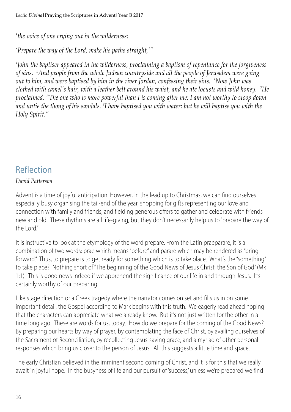*3 the voice of one crying out in the wilderness:* 

*'Prepare the way of the Lord, make his paths straight,'"* 

*4 John the baptiser appeared in the wilderness, proclaiming a baptism of repentance for the forgiveness of sins. 5 And people from the whole Judean countryside and all the people of Jerusalem were going out to him, and were baptised by him in the river Jordan, confessing their sins. 6 Now John was clothed with camel's hair, with a leather belt around his waist, and he ate locusts and wild honey. 7 He proclaimed, "The one who is more powerful than I is coming after me; I am not worthy to stoop down and untie the thong of his sandals. 8 I have baptised you with water; but he will baptise you with the Holy Spirit."*

### Reflection

#### *David Patterson*

Advent is a time of joyful anticipation. However, in the lead up to Christmas, we can find ourselves especially busy organising the tail-end of the year, shopping for gifts representing our love and connection with family and friends, and fielding generous offers to gather and celebrate with friends new and old. These rhythms are all life-giving, but they don't necessarily help us to "prepare the way of the Lord"

It is instructive to look at the etymology of the word prepare. From the Latin praeparare, it is a combination of two words: prae which means "before" and parare which may be rendered as "bring forward." Thus, to prepare is to get ready for something which is to take place. What's the "something" to take place? Nothing short of "The beginning of the Good News of Jesus Christ, the Son of God" (Mk 1:1). This is good news indeed if we apprehend the significance of our life in and through Jesus. It's certainly worthy of our preparing!

Like stage direction or a Greek tragedy where the narrator comes on set and fills us in on some important detail, the Gospel according to Mark begins with this truth. We eagerly read ahead hoping that the characters can appreciate what we already know. But it's not just written for the other in a time long ago. These are words for us, today. How do we prepare for the coming of the Good News? By preparing our hearts by way of prayer, by contemplating the face of Christ, by availing ourselves of the Sacrament of Reconciliation, by recollecting Jesus' saving grace, and a myriad of other personal responses which bring us closer to the person of Jesus. All this suggests a little time and space.

The early Christian believed in the imminent second coming of Christ, and it is for this that we really await in joyful hope. In the busyness of life and our pursuit of 'success,' unless we're prepared we find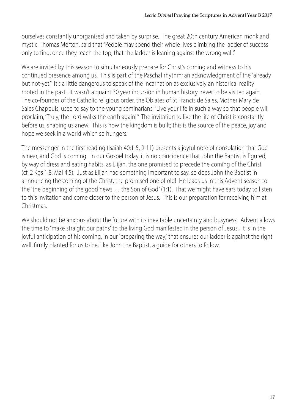ourselves constantly unorganised and taken by surprise. The great 20th century American monk and mystic, Thomas Merton, said that "People may spend their whole lives climbing the ladder of success only to find, once they reach the top, that the ladder is leaning against the wrong wall."

We are invited by this season to simultaneously prepare for Christ's coming and witness to his continued presence among us. This is part of the Paschal rhythm; an acknowledgment of the "already but not-yet." It's a little dangerous to speak of the Incarnation as exclusively an historical reality rooted in the past. It wasn't a quaint 30 year incursion in human history never to be visited again. The co-founder of the Catholic religious order, the Oblates of St Francis de Sales, Mother Mary de Sales Chappuis, used to say to the young seminarians, "Live your life in such a way so that people will proclaim, 'Truly, the Lord walks the earth again!'" The invitation to live the life of Christ is constantly before us, shaping us anew. This is how the kingdom is built; this is the source of the peace, joy and hope we seek in a world which so hungers.

The messenger in the first reading (Isaiah 40:1-5, 9-11) presents a joyful note of consolation that God is near, and God is coming. In our Gospel today, it is no coincidence that John the Baptist is figured, by way of dress and eating habits, as Elijah, the one promised to precede the coming of the Christ (cf. 2 Kgs 1:8; Mal 4:5). Just as Elijah had something important to say, so does John the Baptist in announcing the coming of the Christ, the promised one of old! He leads us in this Advent season to the "the beginning of the good news … the Son of God" (1:1). That we might have ears today to listen to this invitation and come closer to the person of Jesus. This is our preparation for receiving him at Christmas.

We should not be anxious about the future with its inevitable uncertainty and busyness. Advent allows the time to "make straight our paths" to the living God manifested in the person of Jesus. It is in the joyful anticipation of his coming, in our "preparing the way," that ensures our ladder is against the right wall, firmly planted for us to be, like John the Baptist, a guide for others to follow.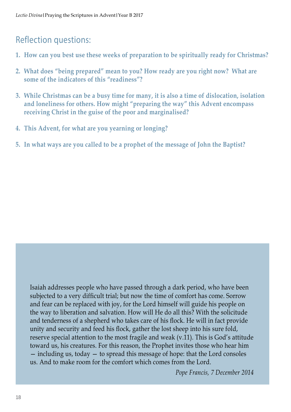### Reflection questions:

- **1. How can you best use these weeks of preparation to be spiritually ready for Christmas?**
- **2. What does "being prepared" mean to you? How ready are you right now? What are some of the indicators of this "readiness"?**
- **3. While Christmas can be a busy time for many, it is also a time of dislocation, isolation and loneliness for others. How might "preparing the way" this Advent encompass receiving Christ in the guise of the poor and marginalised?**
- **4. This Advent, for what are you yearning or longing?**
- **5. In what ways are you called to be a prophet of the message of John the Baptist?**

Isaiah addresses people who have passed through a dark period, who have been subjected to a very difficult trial; but now the time of comfort has come. Sorrow and fear can be replaced with joy, for the Lord himself will guide his people on the way to liberation and salvation. How will He do all this? With the solicitude and tenderness of a shepherd who takes care of his flock. He will in fact provide unity and security and feed his flock, gather the lost sheep into his sure fold, reserve special attention to the most fragile and weak (v.11). This is God's attitude toward us, his creatures. For this reason, the Prophet invites those who hear him — including us, today — to spread this message of hope: that the Lord consoles us. And to make room for the comfort which comes from the Lord.

*Pope Francis, 7 December 2014*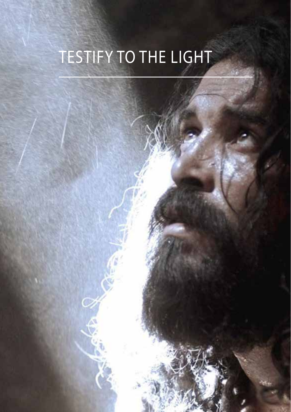# Testify to the light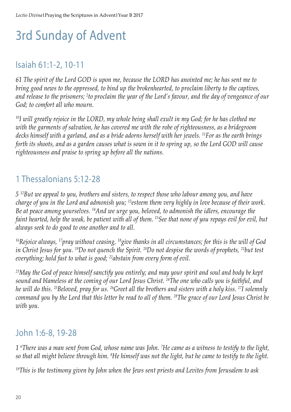## 3rd Sunday of Advent

#### Isaiah 61:1-2, 10-11

*61 The spirit of the Lord GOD is upon me, because the LORD has anointed me; he has sent me to bring good news to the oppressed, to bind up the brokenhearted, to proclaim liberty to the captives, and release to the prisoners; 2 to proclaim the year of the Lord's favour, and the day of vengeance of our God; to comfort all who mourn.* 

*10I will greatly rejoice in the LORD, my whole being shall exult in my God; for he has clothed me with the garments of salvation, he has covered me with the robe of righteousness, as a bridegroom decks himself with a garland, and as a bride adorns herself with her jewels. 11For as the earth brings forth its shoots, and as a garden causes what is sown in it to spring up, so the Lord GOD will cause righteousness and praise to spring up before all the nations.* 

### 1 Thessalonians 5:12-28

*5 12But we appeal to you, brothers and sisters, to respect those who labour among you, and have charge of you in the Lord and admonish you; 13esteem them very highly in love because of their work. Be at peace among yourselves. 14And we urge you, beloved, to admonish the idlers, encourage the faint hearted, help the weak, be patient with all of them. 15See that none of you repays evil for evil, but always seek to do good to one another and to all.* 

*16Rejoice always, 17pray without ceasing, 18give thanks in all circumstances; for this is the will of God in Christ Jesus for you. 19Do not quench the Spirit. 20Do not despise the words of prophets, 21but test everything; hold fast to what is good; 22abstain from every form of evil.* 

*23May the God of peace himself sanctify you entirely; and may your spirit and soul and body be kept sound and blameless at the coming of our Lord Jesus Christ. 24The one who calls you is faithful, and he will do this. 25Beloved, pray for us. 26Greet all the brothers and sisters with a holy kiss. 27I solemnly command you by the Lord that this letter be read to all of them. 28The grace of our Lord Jesus Christ be with you.* 

### John 1:6-8, 19-28

*1 6 There was a man sent from God, whose name was John. 7 He came as a witness to testify to the light, so that all might believe through him. 8 He himself was not the light, but he came to testify to the light.* 

*19This is the testimony given by John when the Jews sent priests and Levites from Jerusalem to ask*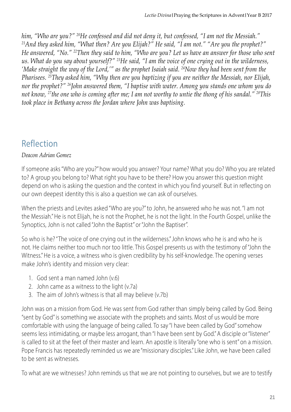*him, "Who are you?"* <sup>20</sup>He confessed and did not deny it, but confessed, "I am not the Messiah."<br><sup>21</sup>And they asked him, "What then? Are you Elijah?" He said, "I am not." "Are you the prophet?" *He answered, "No." 22Then they said to him, "Who are you? Let us have an answer for those who sent us. What do you say about yourself?" 23He said, "I am the voice of one crying out in the wilderness, 'Make straight the way of the Lord,'" as the prophet Isaiah said. 24Now they had been sent from the Pharisees. 25They asked him, "Why then are you baptizing if you are neither the Messiah, nor Elijah, nor the prophet?" 26John answered them, "I baptise with water. Among you stands one whom you do not know, 27the one who is coming after me; I am not worthy to untie the thong of his sandal." 28This took place in Bethany across the Jordan where John was baptising.* 

## Reflection

*Deacon Adrian Gomez*

If someone asks "Who are you?" how would you answer? Your name? What you do? Who you are related to? A group you belong to? What right you have to be there? How you answer this question might depend on who is asking the question and the context in which you find yourself. But in reflecting on our own deepest identity this is also a question we can ask of ourselves.

When the priests and Levites asked "Who are you?" to John, he answered who he was not. "I am not the Messiah." He is not Elijah, he is not the Prophet, he is not the light. In the Fourth Gospel, unlike the Synoptics, John is not called "John the Baptist" or "John the Baptiser".

So who is he? "The voice of one crying out in the wilderness." John knows who he is and who he is not. He claims neither too much nor too little. This Gospel presents us with the testimony of "John the Witness." He is a voice, a witness who is given credibility by his self-knowledge. The opening verses make John's identity and mission very clear:

- 1. God sent a man named John  $(v6)$
- 2. John came as a witness to the light (v.7a)
- 3. The aim of John's witness is that all may believe (v.7b)

John was on a mission from God. He was sent from God rather than simply being called by God. Being "sent by God" is something we associate with the prophets and saints. Most of us would be more comfortable with using the language of being called. To say "I have been called by God" somehow seems less intimidating, or maybe less arrogant, than "I have been sent by God." A disciple or "listener" is called to sit at the feet of their master and learn. An apostle is literally "one who is sent" on a mission. Pope Francis has repeatedly reminded us we are "missionary disciples." Like John, we have been called to be sent as witnesses.

To what are we witnesses? John reminds us that we are not pointing to ourselves, but we are to testify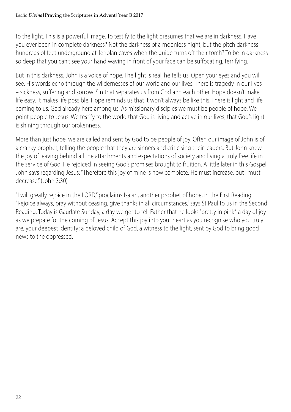to the light. This is a powerful image. To testify to the light presumes that we are in darkness. Have you ever been in complete darkness? Not the darkness of a moonless night, but the pitch darkness hundreds of feet underground at Jenolan caves when the guide turns off their torch? To be in darkness so deep that you can't see your hand waving in front of your face can be suffocating, terrifying.

But in this darkness, John is a voice of hope. The light is real, he tells us. Open your eyes and you will see. His words echo through the wildernesses of our world and our lives. There is tragedy in our lives – sickness, suffering and sorrow. Sin that separates us from God and each other. Hope doesn't make life easy. It makes life possible. Hope reminds us that it won't always be like this. There is light and life coming to us. God already here among us. As missionary disciples we must be people of hope. We point people to Jesus. We testify to the world that God is living and active in our lives, that God's light is shining through our brokenness.

More than just hope, we are called and sent by God to be people of joy. Often our image of John is of a cranky prophet, telling the people that they are sinners and criticising their leaders. But John knew the joy of leaving behind all the attachments and expectations of society and living a truly free life in the service of God. He rejoiced in seeing God's promises brought to fruition. A little later in this Gospel John says regarding Jesus: "Therefore this joy of mine is now complete. He must increase, but I must decrease." (John 3:30)

"I will greatly rejoice in the LORD," proclaims Isaiah, another prophet of hope, in the First Reading. "Rejoice always, pray without ceasing, give thanks in all circumstances," says St Paul to us in the Second Reading. Today is Gaudate Sunday, a day we get to tell Father that he looks "pretty in pink", a day of joy as we prepare for the coming of Jesus. Accept this joy into your heart as you recognise who you truly are, your deepest identity: a beloved child of God, a witness to the light, sent by God to bring good news to the oppressed.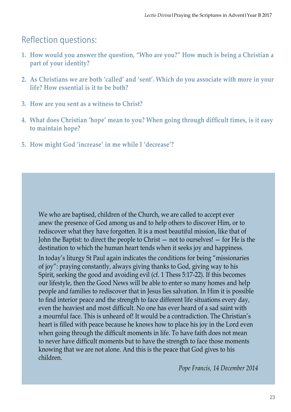#### Reflection questions:

- **1. How would you answer the question, "Who are you?" How much is being a Christian a part of your identity?**
- **2. As Christians we are both 'called' and 'sent'. Which do you associate with more in your life? How essential is it to be both?**
- **3. How are you sent as a witness to Christ?**
- **4. What does Christian 'hope' mean to you? When going through difficult times, is it easy to maintain hope?**
- **5. How might God 'increase' in me while I 'decrease'?**

We who are baptised, children of the Church, we are called to accept ever anew the presence of God among us and to help others to discover Him, or to rediscover what they have forgotten. It is a most beautiful mission, like that of John the Baptist: to direct the people to Christ — not to ourselves! — for He is the destination to which the human heart tends when it seeks joy and happiness.

In today's liturgy St Paul again indicates the conditions for being "missionaries of joy": praying constantly, always giving thanks to God, giving way to his Spirit, seeking the good and avoiding evil (cf. 1 Thess 5:17-22). If this becomes our lifestyle, then the Good News will be able to enter so many homes and help people and families to rediscover that in Jesus lies salvation. In Him it is possible to find interior peace and the strength to face different life situations every day, even the heaviest and most difficult. No one has ever heard of a sad saint with a mournful face. This is unheard of! It would be a contradiction. The Christian's heart is filled with peace because he knows how to place his joy in the Lord even when going through the difficult moments in life. To have faith does not mean to never have difficult moments but to have the strength to face those moments knowing that we are not alone. And this is the peace that God gives to his children.

*Pope Francis, 14 December 2014*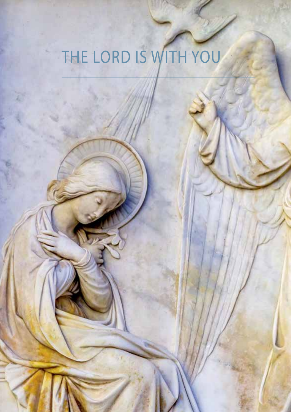# THE LORD IS WITH YOU

**24**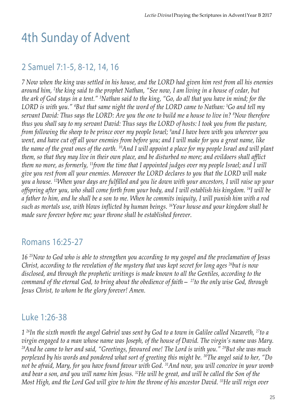## 4th Sunday of Advent

#### 2 Samuel 7:1-5, 8-12, 14, 16

*7 Now when the king was settled in his house, and the LORD had given him rest from all his enemies around him, 2 the king said to the prophet Nathan, "See now, I am living in a house of cedar, but the ark of God stays in a tent." 3 Nathan said to the king, "Go, do all that you have in mind; for the LORD is with you." 4 But that same night the word of the LORD came to Nathan: 5 Go and tell my servant David: Thus says the LORD: Are you the one to build me a house to live in? 8 Now therefore thus you shall say to my servant David: Thus says the LORD of hosts: I took you from the pasture, from following the sheep to be prince over my people Israel; 9 and I have been with you wherever you went, and have cut off all your enemies from before you; and I will make for you a great name, like the name of the great ones of the earth. 10And I will appoint a place for my people Israel and will plant them, so that they may live in their own place, and be disturbed no more; and evildoers shall afflict them no more, as formerly, 11from the time that I appointed judges over my people Israel; and I will give you rest from all your enemies. Moreover the LORD declares to you that the LORD will make you a house. 12When your days are fulfilled and you lie down with your ancestors, I will raise up your offspring after you, who shall come forth from your body, and I will establish his kingdom. 14I will be a father to him, and he shall be a son to me. When he commits iniquity, I will punish him with a rod such as mortals use, with blows inflicted by human beings. 16Your house and your kingdom shall be made sure forever before me; your throne shall be established forever.* 

#### Romans 16:25-27

*16 25Now to God who is able to strengthen you according to my gospel and the proclamation of Jesus Christ, according to the revelation of the mystery that was kept secret for long ages 26but is now disclosed, and through the prophetic writings is made known to all the Gentiles, according to the command of the eternal God, to bring about the obedience of faith— 27to the only wise God, through Jesus Christ, to whom be the glory forever! Amen.* 

#### Luke 1:26-38

*1 26In the sixth month the angel Gabriel was sent by God to a town in Galilee called Nazareth, 27to a virgin engaged to a man whose name was Joseph, of the house of David. The virgin's name was Mary. 28And he came to her and said, "Greetings, favoured one! The Lord is with you." 29But she was much perplexed by his words and pondered what sort of greeting this might be. 30The angel said to her, "Do not be afraid, Mary, for you have found favour with God. 31And now, you will conceive in your womb and bear a son, and you will name him Jesus. 32He will be great, and will be called the Son of the Most High, and the Lord God will give to him the throne of his ancestor David. 33He will reign over*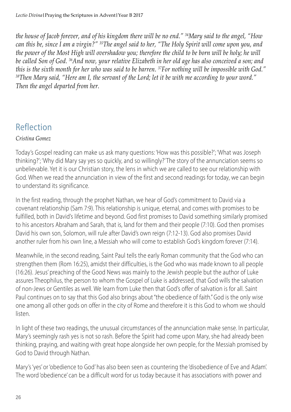*the house of Jacob forever, and of his kingdom there will be no end." 34Mary said to the angel, "How can this be, since I am a virgin?" 35The angel said to her, "The Holy Spirit will come upon you, and the power of the Most High will overshadow you; therefore the child to be born will be holy; he will be called Son of God. 36And now, your relative Elizabeth in her old age has also conceived a son; and this is the sixth month for her who was said to be barren. 37For nothing will be impossible with God." 38Then Mary said, "Here am I, the servant of the Lord; let it be with me according to your word." Then the angel departed from her.* 

### Reflection

#### *Cristina Gomez*

Today's Gospel reading can make us ask many questions: 'How was this possible?'; 'What was Joseph thinking?'; 'Why did Mary say yes so quickly, and so willingly?' The story of the annunciation seems so unbelievable. Yet it is our Christian story, the lens in which we are called to see our relationship with God. When we read the annunciation in view of the first and second readings for today, we can begin to understand its significance.

In the first reading, through the prophet Nathan, we hear of God's commitment to David via a covenant relationship (Sam 7:9). This relationship is unique, eternal, and comes with promises to be fulfilled, both in David's lifetime and beyond. God first promises to David something similarly promised to his ancestors Abraham and Sarah, that is, land for them and their people (7:10). God then promises David his own son, Solomon, will rule after David's own reign (7:12-13). God also promises David another ruler from his own line, a Messiah who will come to establish God's kingdom forever (7:14).

Meanwhile, in the second reading, Saint Paul tells the early Roman community that the God who can strengthen them (Rom 16:25), amidst their difficulties, is the God who was made known to all people (16:26). Jesus' preaching of the Good News was mainly to the Jewish people but the author of Luke assures Theophilus, the person to whom the Gospel of Luke is addressed, that God wills the salvation of non-Jews or Gentiles as well. We learn from Luke then that God's offer of salvation is for all. Saint Paul continues on to say that this God also brings about "the obedience of faith." God is the only wise one among all other gods on offer in the city of Rome and therefore it is this God to whom we should listen.

In light of these two readings, the unusual circumstances of the annunciation make sense. In particular, Mary's seemingly rash yes is not so rash. Before the Spirit had come upon Mary, she had already been thinking, praying, and waiting with great hope alongside her own people, for the Messiah promised by God to David through Nathan.

Mary's 'yes' or 'obedience to God' has also been seen as countering the 'disobedience of Eve and Adam'. The word 'obedience' can be a difficult word for us today because it has associations with power and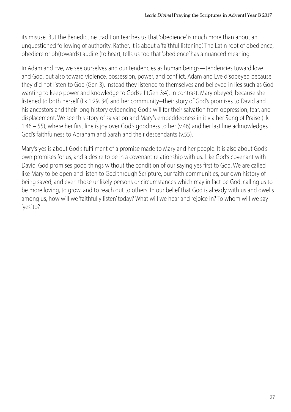its misuse. But the Benedictine tradition teaches us that 'obedience' is much more than about an unquestioned following of authority. Rather, it is about a 'faithful listening'. The Latin root of obedience, obediere or ob(towards) audire (to hear), tells us too that 'obedience' has a nuanced meaning.

In Adam and Eve, we see ourselves and our tendencies as human beings—tendencies toward love and God, but also toward violence, possession, power, and conflict. Adam and Eve disobeyed because they did not listen to God (Gen 3). Instead they listened to themselves and believed in lies such as God wanting to keep power and knowledge to Godself (Gen 3:4). In contrast, Mary obeyed, because she listened to both herself (Lk 1:29, 34) and her community--their story of God's promises to David and his ancestors and their long history evidencing God's will for their salvation from oppression, fear, and displacement. We see this story of salvation and Mary's embeddedness in it via her Song of Praise (Lk 1:46 – 55), where her first line is joy over God's goodness to her (v.46) and her last line acknowledges God's faithfulness to Abraham and Sarah and their descendants (v.55).

Mary's yes is about God's fulfilment of a promise made to Mary and her people. It is also about God's own promises for us, and a desire to be in a covenant relationship with us. Like God's covenant with David, God promises good things without the condition of our saying yes first to God. We are called like Mary to be open and listen to God through Scripture, our faith communities, our own history of being saved, and even those unlikely persons or circumstances which may in fact be God, calling us to be more loving, to grow, and to reach out to others. In our belief that God is already with us and dwells among us, how will we 'faithfully listen' today? What will we hear and rejoice in? To whom will we say 'yes' to?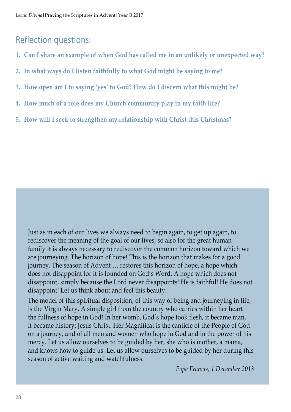#### Reflection questions:

- **1. Can I share an example of when God has called me in an unlikely or unexpected way?**
- **2. In what ways do I listen faithfully to what God might be saying to me?**
- **3. How open am I to saying 'yes' to God? How do I discern what this might be?**
- **4. How much of a role does my Church community play in my faith life?**
- **5. How will I seek to strengthen my relationship with Christ this Christmas?**

Just as in each of our lives we always need to begin again, to get up again, to rediscover the meaning of the goal of our lives, so also for the great human family it is always necessary to rediscover the common horizon toward which we are journeying. The horizon of hope! This is the horizon that makes for a good journey. The season of Advent … restores this horizon of hope, a hope which does not disappoint for it is founded on God's Word. A hope which does not disappoint, simply because the Lord never disappoints! He is faithful! He does not disappoint! Let us think about and feel this beauty.

The model of this spiritual disposition, of this way of being and journeying in life, is the Virgin Mary. A simple girl from the country who carries within her heart the fullness of hope in God! In her womb, God's hope took flesh, it became man, it became history: Jesus Christ. Her Magnificat is the canticle of the People of God on a journey, and of all men and women who hope in God and in the power of his mercy. Let us allow ourselves to be guided by her, she who is mother, a mama, and knows how to guide us. Let us allow ourselves to be guided by her during this season of active waiting and watchfulness.

*Pope Francis, 1 December 2013*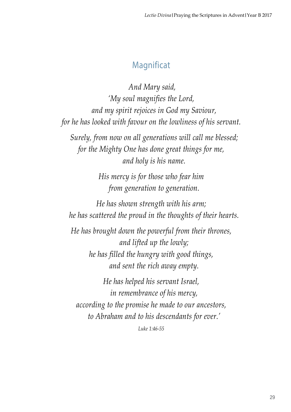## **Magnificat**

 *And Mary said, 'My soul magnifies the Lord, and my spirit rejoices in God my Saviour, for he has looked with favour on the lowliness of his servant. Surely, from now on all generations will call me blessed; for the Mighty One has done great things for me, and holy is his name. His mercy is for those who fear him from generation to generation. He has shown strength with his arm; he has scattered the proud in the thoughts of their hearts. He has brought down the powerful from their thrones, and lifted up the lowly; he has filled the hungry with good things, and sent the rich away empty. He has helped his servant Israel, in remembrance of his mercy, according to the promise he made to our ancestors,*

 *to Abraham and to his descendants for ever.'*

*Luke 1:46-55*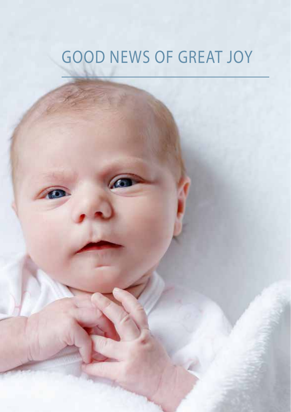# Good news of great joy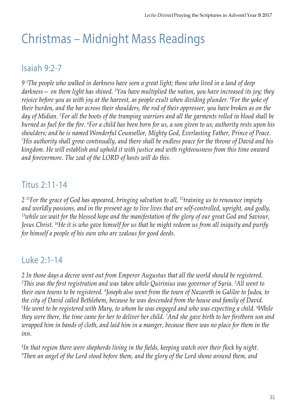## Christmas – Midnight Mass Readings

### Isaiah 9:2-7

*9 2 The people who walked in darkness have seen a great light; those who lived in a land of deep darkness— on them light has shined. 3 You have multiplied the nation, you have increased its joy; they rejoice before you as with joy at the harvest, as people exult when dividing plunder. 4 For the yoke of their burden, and the bar across their shoulders, the rod of their oppressor, you have broken as on the day of Midian. 5 For all the boots of the tramping warriors and all the garments rolled in blood shall be burned as fuel for the fire. <sup>6</sup> For a child has been born for us, a son given to us; authority rests upon his shoulders; and he is named Wonderful Counsellor, Mighty God, Everlasting Father, Prince of Peace. 7 His authority shall grow continually, and there shall be endless peace for the throne of David and his kingdom. He will establish and uphold it with justice and with righteousness from this time onward and forevermore. The zeal of the LORD of hosts will do this.* 

#### Titus 2:11-14

*2 11For the grace of God has appeared, bringing salvation to all, 12training us to renounce impiety and worldly passions, and in the present age to live lives that are self-controlled, upright, and godly, 13while we wait for the blessed hope and the manifestation of the glory of our great God and Saviour, Jesus Christ. 14He it is who gave himself for us that he might redeem us from all iniquity and purify for himself a people of his own who are zealous for good deeds.* 

### Luke 2:1-14

*2 In those days a decree went out from Emperor Augustus that all the world should be registered. 2 This was the first registration and was taken while Quirinius was governor of Syria. <sup>3</sup> All went to their own towns to be registered. 4 Joseph also went from the town of Nazareth in Galilee to Judea, to the city of David called Bethlehem, because he was descended from the house and family of David. 5 He went to be registered with Mary, to whom he was engaged and who was expecting a child. 6 While they were there, the time came for her to deliver her child. 7 And she gave birth to her firstborn son and wrapped him in bands of cloth, and laid him in a manger, because there was no place for them in the inn.* 

*8 In that region there were shepherds living in the fields, keeping watch over their flock by night. 9 Then an angel of the Lord stood before them, and the glory of the Lord shone around them, and*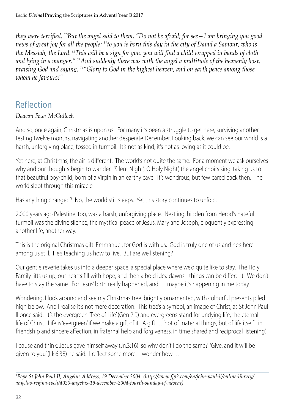*they were terrified. 10But the angel said to them, "Do not be afraid; for see—I am bringing you good news of great joy for all the people: 11to you is born this day in the city of David a Saviour, who is the Messiah, the Lord. 12This will be a sign for you: you will find a child wrapped in bands of cloth and lying in a manger." 13And suddenly there was with the angel a multitude of the heavenly host, praising God and saying, 14"Glory to God in the highest heaven, and on earth peace among those whom he favours!"* 

#### Reflection

#### *Deacon Peter McCulloch*

And so, once again, Christmas is upon us. For many it's been a struggle to get here, surviving another testing twelve months, navigating another desperate December. Looking back, we can see our world is a harsh, unforgiving place, tossed in turmoil. It's not as kind, it's not as loving as it could be.

Yet here, at Christmas, the air is different. The world's not quite the same. For a moment we ask ourselves why and our thoughts begin to wander. 'Silent Night', 'O Holy Night', the angel choirs sing, taking us to that beautiful boy-child, born of a Virgin in an earthy cave. It's wondrous, but few cared back then. The world slept through this miracle.

Has anything changed? No, the world still sleeps. Yet this story continues to unfold.

2,000 years ago Palestine, too, was a harsh, unforgiving place. Nestling, hidden from Herod's hateful turmoil was the divine silence, the mystical peace of Jesus, Mary and Joseph, eloquently expressing another life, another way.

This is the original Christmas gift: Emmanuel, for God is with us. God is truly one of us and he's here among us still. He's teaching us how to live. But are we listening?

Our gentle reverie takes us into a deeper space, a special place where we'd quite like to stay. The Holy Family lifts us up; our hearts fill with hope, and then a bold idea dawns - things can be different. We don't have to stay the same. For Jesus' birth really happened, and ... maybe it's happening in me today.

Wondering, I look around and see my Christmas tree: brightly ornamented, with colourful presents piled high below. And I realise it's not mere decoration. This tree's a symbol, an image of Christ, as St John Paul II once said. It's the evergreen 'Tree of Life' (Gen 2:9) and evergreens stand for undying life, the eternal life of Christ. Life is 'evergreen' if we make a gift of it. A gift … 'not of material things, but of life itself: in friendship and sincere affection, in fraternal help and forgiveness, in time shared and reciprocal listening'.<sup>1</sup>

I pause and think: Jesus gave himself away (Jn.3:16), so why don't I do the same? 'Give, and it will be given to you' (Lk.6:38) he said. I reflect some more. I wonder how …

*1 Pope St John Paul II, Angelus Address, 19 December 2004. (http://www.fjp2.com/en/john-paul-ii/online-library/ angelus-regina-coeli/4020-angelus-19-december-2004-fourth-sunday-of-advent)*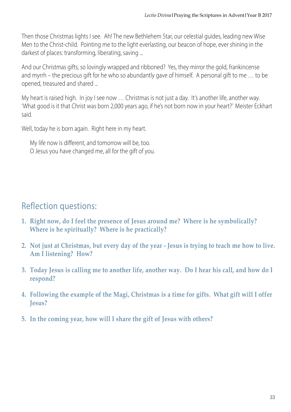Then those Christmas lights I see. Ah! The new Bethlehem Star, our celestial guides, leading new Wise Men to the Christ-child. Pointing me to the light everlasting, our beacon of hope, ever shining in the darkest of places: transforming, liberating, saving ...

And our Christmas gifts, so lovingly wrapped and ribboned? Yes, they mirror the gold, frankincense and myrrh – the precious gift for he who so abundantly gave of himself. A personal gift to me … to be opened, treasured and shared ...

My heart is raised high. In joy I see now … Christmas is not just a day. It's another life, another way. 'What good is it that Christ was born 2,000 years ago, if he's not born now in your heart?' Meister Eckhart said.

Well, today he is born again. Right here in my heart.

My life now is different, and tomorrow will be, too. O Jesus you have changed me, all for the gift of you.

### Reflection questions:

- **1. Right now, do I feel the presence of Jesus around me? Where is he symbolically? Where is he spiritually? Where is he practically?**
- **2. Not just at Christmas, but every day of the year Jesus is trying to teach me how to live. Am I listening? How?**
- **3. Today Jesus is calling me to another life, another way. Do I hear his call, and how do I respond?**
- **4. Following the example of the Magi, Christmas is a time for gifts. What gift will I offer Jesus?**
- **5. In the coming year, how will I share the gift of Jesus with others?**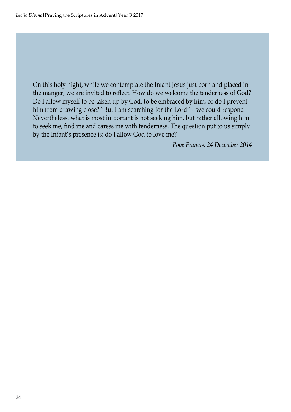On this holy night, while we contemplate the Infant Jesus just born and placed in the manger, we are invited to reflect. How do we welcome the tenderness of God? Do I allow myself to be taken up by God, to be embraced by him, or do I prevent him from drawing close? "But I am searching for the Lord" - we could respond. Nevertheless, what is most important is not seeking him, but rather allowing him to seek me, find me and caress me with tenderness. The question put to us simply by the Infant's presence is: do I allow God to love me?

*Pope Francis, 24 December 2014*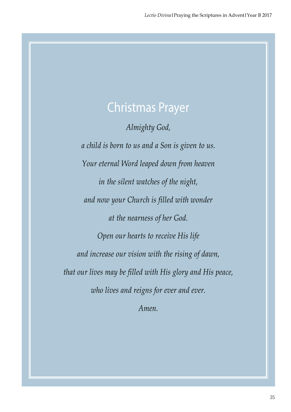## Christmas Prayer

*Almighty God,*

*a child is born to us and a Son is given to us. Your eternal Word leaped down from heaven in the silent watches of the night, and now your Church is filled with wonder at the nearness of her God. Open our hearts to receive His life and increase our vision with the rising of dawn, that our lives may be filled with His glory and His peace, who lives and reigns for ever and ever.*

*Amen.*